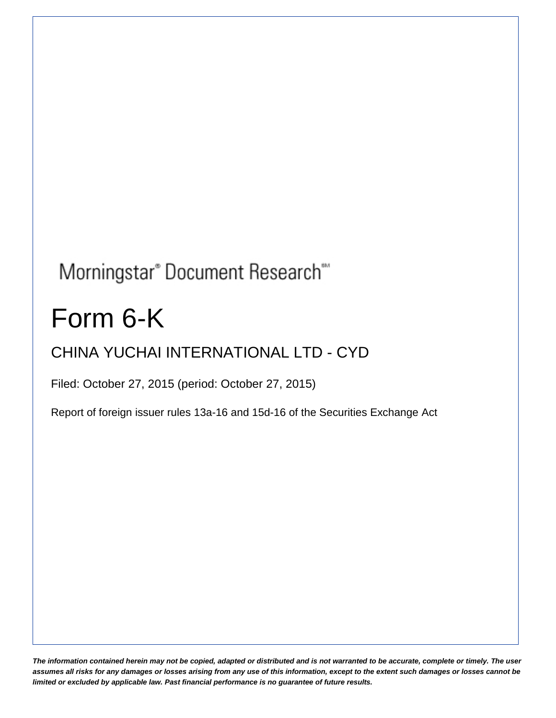# Morningstar® Document Research®

# Form 6-K

# CHINA YUCHAI INTERNATIONAL LTD - CYD

Filed: October 27, 2015 (period: October 27, 2015)

Report of foreign issuer rules 13a-16 and 15d-16 of the Securities Exchange Act

*The information contained herein may not be copied, adapted or distributed and is not warranted to be accurate, complete or timely. The user assumes all risks for any damages or losses arising from any use of this information, except to the extent such damages or losses cannot be limited or excluded by applicable law. Past financial performance is no guarantee of future results.*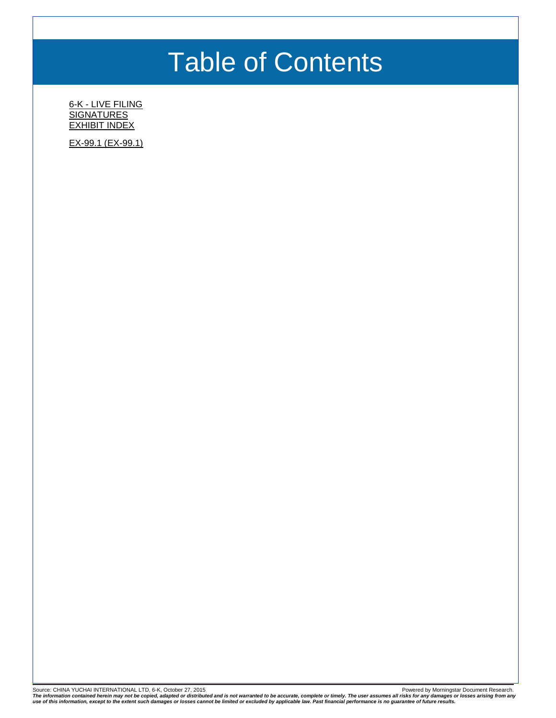# Table of Contents

6-K - [LIVE FILING](#page-2-0) **[SIGNATURES](#page-4-0)** [EXHIBIT INDEX](#page-5-0)

[EX-99.1 \(EX-99.1\)](#page-6-0)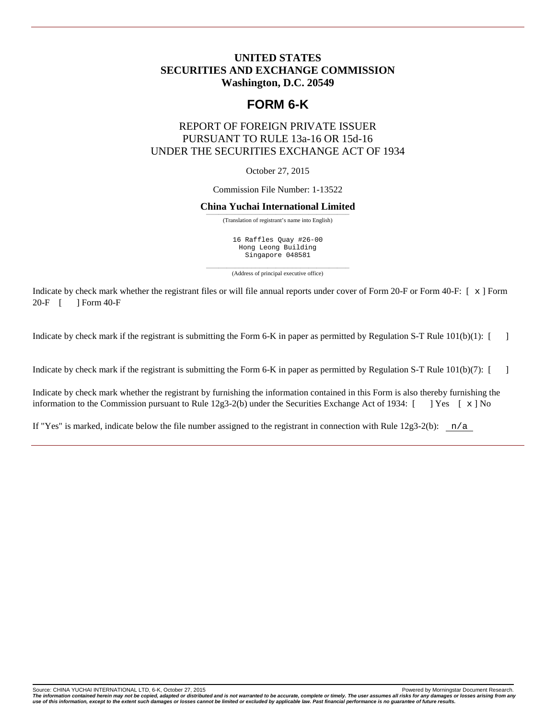### <span id="page-2-0"></span>**UNITED STATES SECURITIES AND EXCHANGE COMMISSION Washington, D.C. 20549**

## **FORM 6-K**

### REPORT OF FOREIGN PRIVATE ISSUER PURSUANT TO RULE 13a-16 OR 15d-16 UNDER THE SECURITIES EXCHANGE ACT OF 1934

October 27, 2015

Commission File Number: 1-13522

#### **China Yuchai International Limited**

——————————————————————————————————— (Translation of registrant's name into English)

16 Raffles Quay #26-00 Hong Leong Building Singapore 048581

——————————————————————————————————— (Address of principal executive office)

Indicate by check mark whether the registrant files or will file annual reports under cover of Form 20-F or Form 40-F:  $[x]$  Form  $20-F$   $[$  1 Form 40-F 1 Form 40-F

Indicate by check mark if the registrant is submitting the Form 6-K in paper as permitted by Regulation S-T Rule 101(b)(1): [ ]

Indicate by check mark if the registrant is submitting the Form 6-K in paper as permitted by Regulation S-T Rule 101(b)(7): [ ]

Indicate by check mark whether the registrant by furnishing the information contained in this Form is also thereby furnishing the information to the Commission pursuant to Rule 12g3-2(b) under the Securities Exchange Act of 1934:  $[$  ] Yes  $[ \times ]$  No

If "Yes" is marked, indicate below the file number assigned to the registrant in connection with Rule  $12g3-2(b)$ :  $n/a$ 

Source: CHINA YUCHAI INTERNATIONAL LTD, 6-K, October 27, 2015 **Powered by Conservation Conservation** Powered by Morningstar Document Research.

The information contained herein may not be copied, adapted or distributed and is not warranted to be accurate, complete or timely. The user assumes all risks for any damages or losses arising from any<br>use of this informat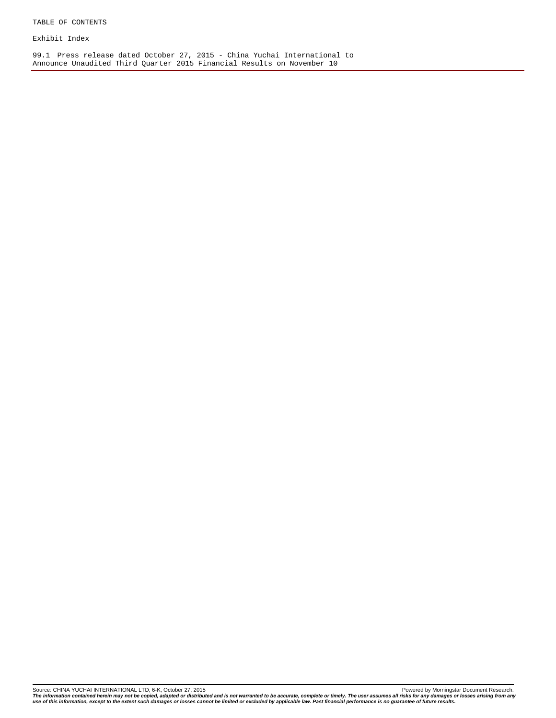Exhibit Index

99.1 Press release dated October 27, 2015 - China Yuchai International to Announce Unaudited Third Quarter 2015 Financial Results on November 10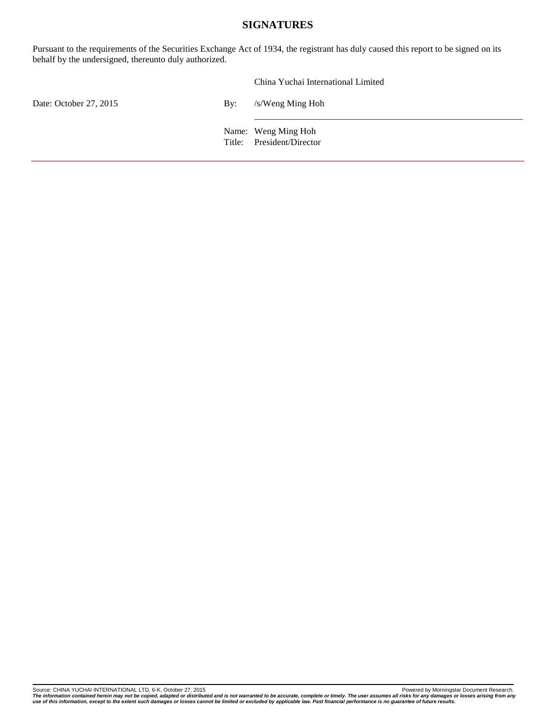### **SIGNATURES**

<span id="page-4-0"></span>Pursuant to the requirements of the Securities Exchange Act of 1934, the registrant has duly caused this report to be signed on its behalf by the undersigned, thereunto duly authorized.

|                        |     | China Yuchai International Limited               |
|------------------------|-----|--------------------------------------------------|
| Date: October 27, 2015 | By: | /s/Weng Ming Hoh                                 |
|                        |     | Name: Weng Ming Hoh<br>Title: President/Director |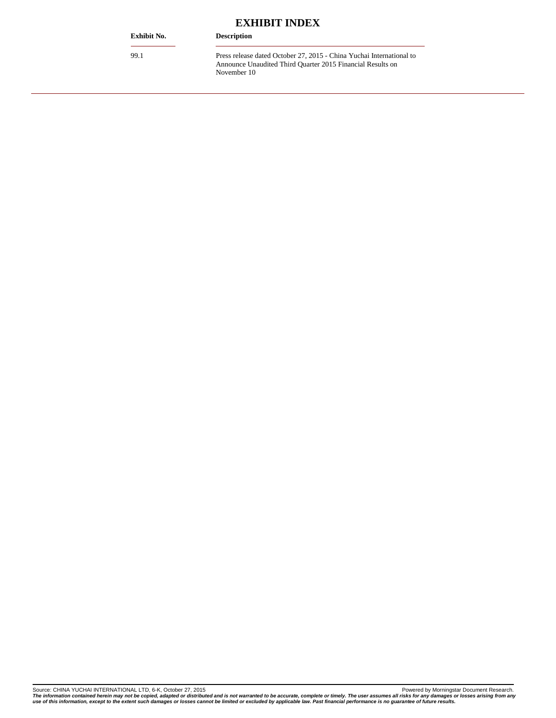<span id="page-5-0"></span>

| <b>Exhibit No.</b> | <b>Description</b>                                                                                                                                |
|--------------------|---------------------------------------------------------------------------------------------------------------------------------------------------|
| 99.1               | Press release dated October 27, 2015 - China Yuchai International to<br>Announce Unaudited Third Quarter 2015 Financial Results on<br>November 10 |